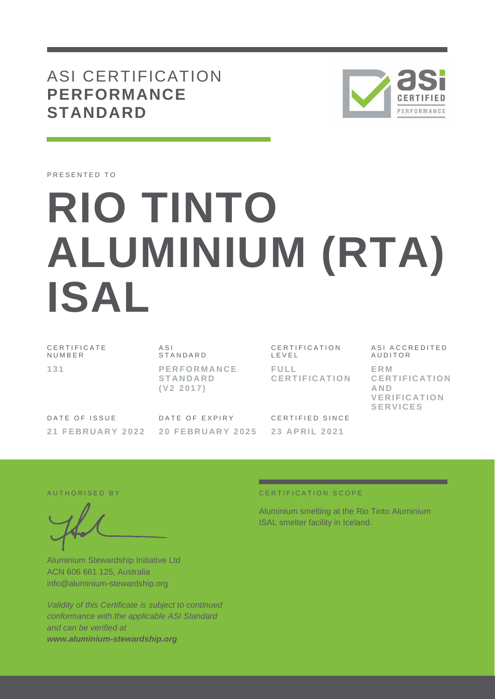ASI CERTIFICATION **PERFORMANCE STANDARD**



PRESENTED TO

# **RIO TINTO ALUMINIUM (RTA) ISAL**

C E R T I F I C A T E **NUMBER 1 3 1**

A S I **STANDARD P E R F O R M A N C E S T A N D A R D ( V 2 2 0 1 7 )**

C E R T I F I C A T I O N L E V E L **F U L L C E R T I F I C A T I O N**

DATE OF ISSUE **2 1 F E B R U A R Y 2 0 2 2** DATE OF EXPIRY **2 0 F E B R U A R Y 2 0 2 5** CERTIFIED SINCE **23 APRIL 2021** 

ASI ACCREDITED **AUDITOR E R M C E R T I F I C A T I O N AND VE R I F I C A T I O N SE R V I C E S**

Aluminium Stewardship Initiative Ltd ACN 606 661 125, Australia info@aluminium-stewardship.org

*Validity of this Certificate is subject to continued conformance with the applicable ASI Standard and can be verified at www.aluminium-stewardship.org*

#### A UTHORISED BY **CERTIFICATION SCOPE**

Aluminium smelting at the Rio Tinto Aluminium ISAL smelter facility in Iceland.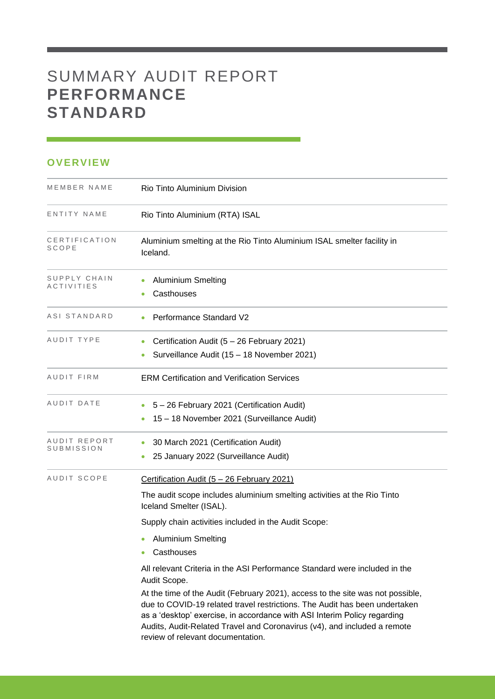# SUMMARY AUDIT REPORT **PERFORMANCE STANDARD**

### **OVERVIEW**

| MEMBER NAME                       | Rio Tinto Aluminium Division                                                                                                                                                                                                                                                                                                                              |
|-----------------------------------|-----------------------------------------------------------------------------------------------------------------------------------------------------------------------------------------------------------------------------------------------------------------------------------------------------------------------------------------------------------|
| ENTITY NAME                       | Rio Tinto Aluminium (RTA) ISAL                                                                                                                                                                                                                                                                                                                            |
| CERTIFICATION<br>SCOPE            | Aluminium smelting at the Rio Tinto Aluminium ISAL smelter facility in<br>Iceland.                                                                                                                                                                                                                                                                        |
| SUPPLY CHAIN<br><b>ACTIVITIES</b> | <b>Aluminium Smelting</b><br>Casthouses                                                                                                                                                                                                                                                                                                                   |
| ASI STANDARD                      | <b>Performance Standard V2</b>                                                                                                                                                                                                                                                                                                                            |
| AUDIT TYPE                        | Certification Audit (5 - 26 February 2021)<br>Surveillance Audit (15 - 18 November 2021)                                                                                                                                                                                                                                                                  |
| AUDIT FIRM                        | <b>ERM Certification and Verification Services</b>                                                                                                                                                                                                                                                                                                        |
| AUDIT DATE                        | 5 - 26 February 2021 (Certification Audit)<br>15 - 18 November 2021 (Surveillance Audit)                                                                                                                                                                                                                                                                  |
| AUDIT REPORT<br>SUBMISSION        | 30 March 2021 (Certification Audit)<br>25 January 2022 (Surveillance Audit)                                                                                                                                                                                                                                                                               |
| AUDIT SCOPE                       | Certification Audit (5 - 26 February 2021)<br>The audit scope includes aluminium smelting activities at the Rio Tinto<br>Iceland Smelter (ISAL).                                                                                                                                                                                                          |
|                                   | Supply chain activities included in the Audit Scope:                                                                                                                                                                                                                                                                                                      |
|                                   | <b>Aluminium Smelting</b><br>Casthouses                                                                                                                                                                                                                                                                                                                   |
|                                   | All relevant Criteria in the ASI Performance Standard were included in the<br>Audit Scope.                                                                                                                                                                                                                                                                |
|                                   | At the time of the Audit (February 2021), access to the site was not possible,<br>due to COVID-19 related travel restrictions. The Audit has been undertaken<br>as a 'desktop' exercise, in accordance with ASI Interim Policy regarding<br>Audits, Audit-Related Travel and Coronavirus (v4), and included a remote<br>review of relevant documentation. |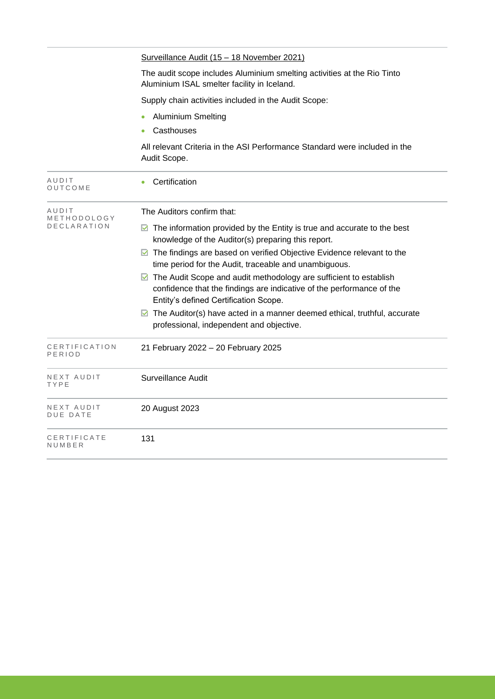| The audit scope includes Aluminium smelting activities at the Rio Tinto                                                                                   |
|-----------------------------------------------------------------------------------------------------------------------------------------------------------|
|                                                                                                                                                           |
|                                                                                                                                                           |
|                                                                                                                                                           |
| All relevant Criteria in the ASI Performance Standard were included in the                                                                                |
|                                                                                                                                                           |
|                                                                                                                                                           |
| $\blacksquare$ The information provided by the Entity is true and accurate to the best                                                                    |
| ◘ The findings are based on verified Objective Evidence relevant to the                                                                                   |
| $\blacksquare$ The Audit Scope and audit methodology are sufficient to establish<br>confidence that the findings are indicative of the performance of the |
| $\blacksquare$ The Auditor(s) have acted in a manner deemed ethical, truthful, accurate                                                                   |
|                                                                                                                                                           |
|                                                                                                                                                           |
|                                                                                                                                                           |
|                                                                                                                                                           |
|                                                                                                                                                           |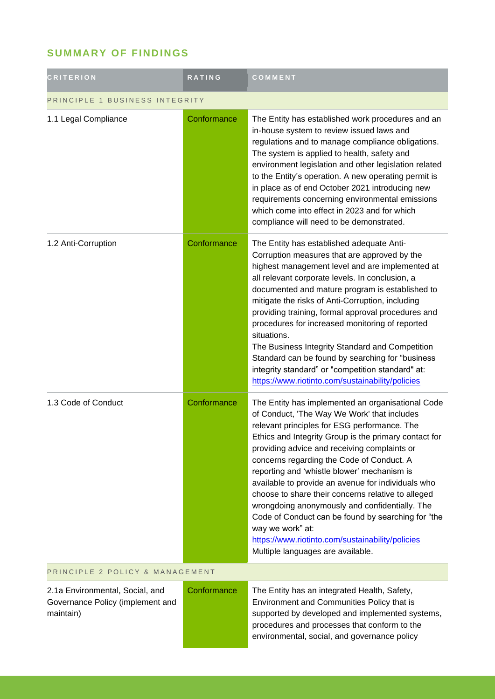## **SUMMARY OF FINDINGS**

| <b>CRITERION</b>                                                                 | RATING      | COMMENT                                                                                                                                                                                                                                                                                                                                                                                                                                                                                                                                                                                                                                                                                |  |
|----------------------------------------------------------------------------------|-------------|----------------------------------------------------------------------------------------------------------------------------------------------------------------------------------------------------------------------------------------------------------------------------------------------------------------------------------------------------------------------------------------------------------------------------------------------------------------------------------------------------------------------------------------------------------------------------------------------------------------------------------------------------------------------------------------|--|
| PRINCIPLE 1 BUSINESS INTEGRITY                                                   |             |                                                                                                                                                                                                                                                                                                                                                                                                                                                                                                                                                                                                                                                                                        |  |
| 1.1 Legal Compliance                                                             | Conformance | The Entity has established work procedures and an<br>in-house system to review issued laws and<br>regulations and to manage compliance obligations.<br>The system is applied to health, safety and<br>environment legislation and other legislation related<br>to the Entity's operation. A new operating permit is<br>in place as of end October 2021 introducing new<br>requirements concerning environmental emissions<br>which come into effect in 2023 and for which<br>compliance will need to be demonstrated.                                                                                                                                                                  |  |
| 1.2 Anti-Corruption                                                              | Conformance | The Entity has established adequate Anti-<br>Corruption measures that are approved by the<br>highest management level and are implemented at<br>all relevant corporate levels. In conclusion, a<br>documented and mature program is established to<br>mitigate the risks of Anti-Corruption, including<br>providing training, formal approval procedures and<br>procedures for increased monitoring of reported<br>situations.<br>The Business Integrity Standard and Competition<br>Standard can be found by searching for "business<br>integrity standard" or "competition standard" at:<br>https://www.riotinto.com/sustainability/policies                                         |  |
| 1.3 Code of Conduct                                                              | Conformance | The Entity has implemented an organisational Code<br>of Conduct, 'The Way We Work' that includes<br>relevant principles for ESG performance. The<br>Ethics and Integrity Group is the primary contact for<br>providing advice and receiving complaints or<br>concerns regarding the Code of Conduct. A<br>reporting and 'whistle blower' mechanism is<br>available to provide an avenue for individuals who<br>choose to share their concerns relative to alleged<br>wrongdoing anonymously and confidentially. The<br>Code of Conduct can be found by searching for "the<br>way we work" at:<br>https://www.riotinto.com/sustainability/policies<br>Multiple languages are available. |  |
| PRINCIPLE 2 POLICY & MANAGEMENT                                                  |             |                                                                                                                                                                                                                                                                                                                                                                                                                                                                                                                                                                                                                                                                                        |  |
| 2.1a Environmental, Social, and<br>Governance Policy (implement and<br>maintain) | Conformance | The Entity has an integrated Health, Safety,<br>Environment and Communities Policy that is<br>supported by developed and implemented systems,<br>procedures and processes that conform to the<br>environmental, social, and governance policy                                                                                                                                                                                                                                                                                                                                                                                                                                          |  |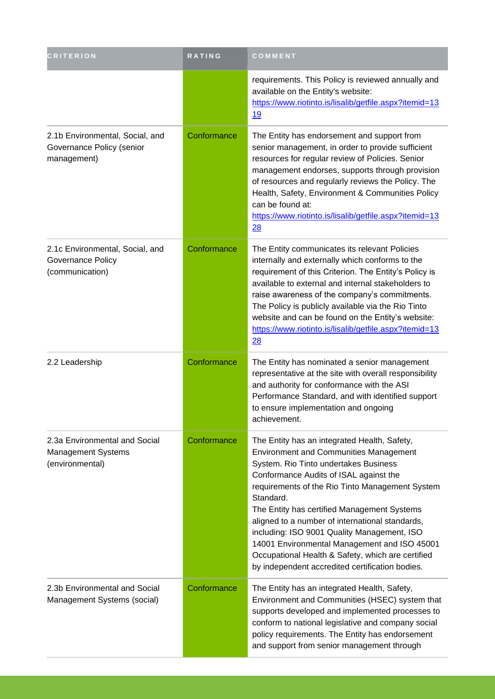| <b>CRITERION</b>                                                               | RATING      | COMMENT                                                                                                                                                                                                                                                                                                                                                                                                                                                                                                                                                   |
|--------------------------------------------------------------------------------|-------------|-----------------------------------------------------------------------------------------------------------------------------------------------------------------------------------------------------------------------------------------------------------------------------------------------------------------------------------------------------------------------------------------------------------------------------------------------------------------------------------------------------------------------------------------------------------|
|                                                                                |             | requirements. This Policy is reviewed annually and<br>available on the Entity's website:<br>https://www.riotinto.is/lisalib/getfile.aspx?itemid=13<br><u>19</u>                                                                                                                                                                                                                                                                                                                                                                                           |
| 2.1b Environmental, Social, and<br>Governance Policy (senior<br>management)    | Conformance | The Entity has endorsement and support from<br>senior management, in order to provide sufficient<br>resources for regular review of Policies. Senior<br>management endorses, supports through provision<br>of resources and regularly reviews the Policy. The<br>Health, Safety, Environment & Communities Policy<br>can be found at:<br>https://www.riotinto.is/lisalib/getfile.aspx?itemid=13<br>28                                                                                                                                                     |
| 2.1c Environmental, Social, and<br><b>Governance Policy</b><br>(communication) | Conformance | The Entity communicates its relevant Policies<br>internally and externally which conforms to the<br>requirement of this Criterion. The Entity's Policy is<br>available to external and internal stakeholders to<br>raise awareness of the company's commitments.<br>The Policy is publicly available via the Rio Tinto<br>website and can be found on the Entity's website:<br>https://www.riotinto.is/lisalib/getfile.aspx?itemid=13<br>$\overline{28}$                                                                                                  |
| 2.2 Leadership                                                                 | Conformance | The Entity has nominated a senior management<br>representative at the site with overall responsibility<br>and authority for conformance with the ASI<br>Performance Standard, and with identified support<br>to ensure implementation and ongoing<br>achievement.                                                                                                                                                                                                                                                                                         |
| 2.3a Environmental and Social<br><b>Management Systems</b><br>(environmental)  | Conformance | The Entity has an integrated Health, Safety,<br><b>Environment and Communities Management</b><br>System. Rio Tinto undertakes Business<br>Conformance Audits of ISAL against the<br>requirements of the Rio Tinto Management System<br>Standard.<br>The Entity has certified Management Systems<br>aligned to a number of international standards,<br>including: ISO 9001 Quality Management, ISO<br>14001 Environmental Management and ISO 45001<br>Occupational Health & Safety, which are certified<br>by independent accredited certification bodies. |
| 2.3b Environmental and Social<br>Management Systems (social)                   | Conformance | The Entity has an integrated Health, Safety,<br>Environment and Communities (HSEC) system that<br>supports developed and implemented processes to<br>conform to national legislative and company social<br>policy requirements. The Entity has endorsement<br>and support from senior management through                                                                                                                                                                                                                                                  |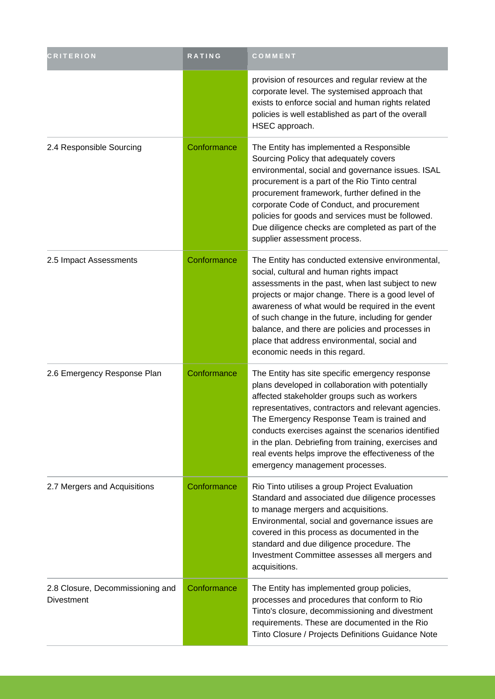| <b>CRITERION</b>                               | RATING      | COMMENT                                                                                                                                                                                                                                                                                                                                                                                                                                                          |
|------------------------------------------------|-------------|------------------------------------------------------------------------------------------------------------------------------------------------------------------------------------------------------------------------------------------------------------------------------------------------------------------------------------------------------------------------------------------------------------------------------------------------------------------|
|                                                |             | provision of resources and regular review at the<br>corporate level. The systemised approach that<br>exists to enforce social and human rights related<br>policies is well established as part of the overall<br>HSEC approach.                                                                                                                                                                                                                                  |
| 2.4 Responsible Sourcing                       | Conformance | The Entity has implemented a Responsible<br>Sourcing Policy that adequately covers<br>environmental, social and governance issues. ISAL<br>procurement is a part of the Rio Tinto central<br>procurement framework, further defined in the<br>corporate Code of Conduct, and procurement<br>policies for goods and services must be followed.<br>Due diligence checks are completed as part of the<br>supplier assessment process.                               |
| 2.5 Impact Assessments                         | Conformance | The Entity has conducted extensive environmental,<br>social, cultural and human rights impact<br>assessments in the past, when last subject to new<br>projects or major change. There is a good level of<br>awareness of what would be required in the event<br>of such change in the future, including for gender<br>balance, and there are policies and processes in<br>place that address environmental, social and<br>economic needs in this regard.         |
| 2.6 Emergency Response Plan                    | Conformance | The Entity has site specific emergency response<br>plans developed in collaboration with potentially<br>affected stakeholder groups such as workers<br>representatives, contractors and relevant agencies.<br>The Emergency Response Team is trained and<br>conducts exercises against the scenarios identified<br>in the plan. Debriefing from training, exercises and<br>real events helps improve the effectiveness of the<br>emergency management processes. |
| 2.7 Mergers and Acquisitions                   | Conformance | Rio Tinto utilises a group Project Evaluation<br>Standard and associated due diligence processes<br>to manage mergers and acquisitions.<br>Environmental, social and governance issues are<br>covered in this process as documented in the<br>standard and due diligence procedure. The<br>Investment Committee assesses all mergers and<br>acquisitions.                                                                                                        |
| 2.8 Closure, Decommissioning and<br>Divestment | Conformance | The Entity has implemented group policies,<br>processes and procedures that conform to Rio<br>Tinto's closure, decommissioning and divestment<br>requirements. These are documented in the Rio<br>Tinto Closure / Projects Definitions Guidance Note                                                                                                                                                                                                             |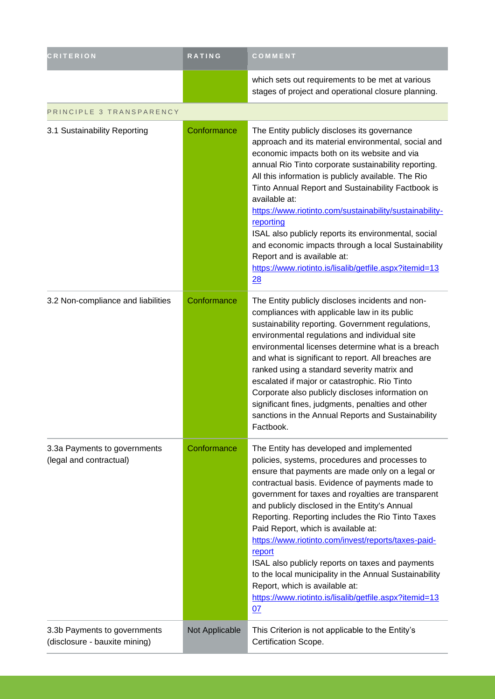| <b>CRITERION</b>                                              | <b>RATING</b>  | COMMENT                                                                                                                                                                                                                                                                                                                                                                                                                                                                                                                                                                                                                                                                                      |
|---------------------------------------------------------------|----------------|----------------------------------------------------------------------------------------------------------------------------------------------------------------------------------------------------------------------------------------------------------------------------------------------------------------------------------------------------------------------------------------------------------------------------------------------------------------------------------------------------------------------------------------------------------------------------------------------------------------------------------------------------------------------------------------------|
|                                                               |                | which sets out requirements to be met at various<br>stages of project and operational closure planning.                                                                                                                                                                                                                                                                                                                                                                                                                                                                                                                                                                                      |
| PRINCIPLE 3 TRANSPARENCY                                      |                |                                                                                                                                                                                                                                                                                                                                                                                                                                                                                                                                                                                                                                                                                              |
| 3.1 Sustainability Reporting                                  | Conformance    | The Entity publicly discloses its governance<br>approach and its material environmental, social and<br>economic impacts both on its website and via<br>annual Rio Tinto corporate sustainability reporting.<br>All this information is publicly available. The Rio<br>Tinto Annual Report and Sustainability Factbook is<br>available at:<br>https://www.riotinto.com/sustainability/sustainability-<br>reporting<br>ISAL also publicly reports its environmental, social<br>and economic impacts through a local Sustainability<br>Report and is available at:<br>https://www.riotinto.is/lisalib/getfile.aspx?itemid=13<br>28                                                              |
| 3.2 Non-compliance and liabilities                            | Conformance    | The Entity publicly discloses incidents and non-<br>compliances with applicable law in its public<br>sustainability reporting. Government regulations,<br>environmental regulations and individual site<br>environmental licenses determine what is a breach<br>and what is significant to report. All breaches are<br>ranked using a standard severity matrix and<br>escalated if major or catastrophic. Rio Tinto<br>Corporate also publicly discloses information on<br>significant fines, judgments, penalties and other<br>sanctions in the Annual Reports and Sustainability<br>Factbook.                                                                                              |
| 3.3a Payments to governments<br>(legal and contractual)       | Conformance    | The Entity has developed and implemented<br>policies, systems, procedures and processes to<br>ensure that payments are made only on a legal or<br>contractual basis. Evidence of payments made to<br>government for taxes and royalties are transparent<br>and publicly disclosed in the Entity's Annual<br>Reporting. Reporting includes the Rio Tinto Taxes<br>Paid Report, which is available at:<br>https://www.riotinto.com/invest/reports/taxes-paid-<br>report<br>ISAL also publicly reports on taxes and payments<br>to the local municipality in the Annual Sustainability<br>Report, which is available at:<br>https://www.riotinto.is/lisalib/getfile.aspx?itemid=13<br><u>07</u> |
| 3.3b Payments to governments<br>(disclosure - bauxite mining) | Not Applicable | This Criterion is not applicable to the Entity's<br>Certification Scope.                                                                                                                                                                                                                                                                                                                                                                                                                                                                                                                                                                                                                     |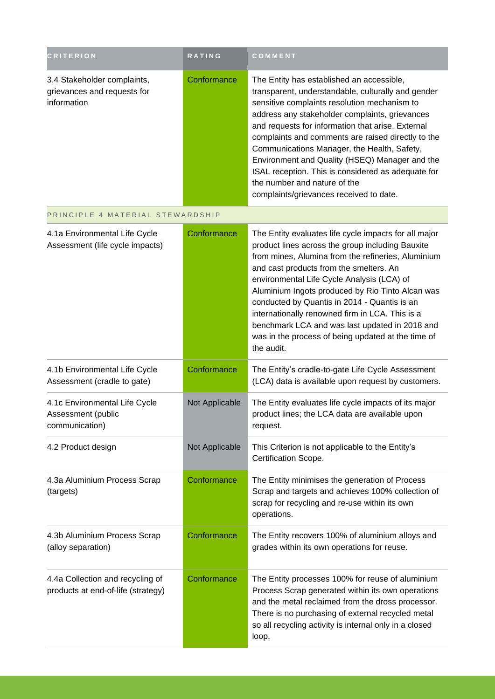| <b>CRITERION</b>                                                          | <b>RATING</b>  | COMMENT                                                                                                                                                                                                                                                                                                                                                                                                                                                                                                                                        |
|---------------------------------------------------------------------------|----------------|------------------------------------------------------------------------------------------------------------------------------------------------------------------------------------------------------------------------------------------------------------------------------------------------------------------------------------------------------------------------------------------------------------------------------------------------------------------------------------------------------------------------------------------------|
| 3.4 Stakeholder complaints,<br>grievances and requests for<br>information | Conformance    | The Entity has established an accessible,<br>transparent, understandable, culturally and gender<br>sensitive complaints resolution mechanism to<br>address any stakeholder complaints, grievances<br>and requests for information that arise. External<br>complaints and comments are raised directly to the<br>Communications Manager, the Health, Safety,<br>Environment and Quality (HSEQ) Manager and the<br>ISAL reception. This is considered as adequate for<br>the number and nature of the<br>complaints/grievances received to date. |
| PRINCIPLE 4 MATERIAL STEWARDSHIP                                          |                |                                                                                                                                                                                                                                                                                                                                                                                                                                                                                                                                                |
| 4.1a Environmental Life Cycle<br>Assessment (life cycle impacts)          | Conformance    | The Entity evaluates life cycle impacts for all major<br>product lines across the group including Bauxite<br>from mines, Alumina from the refineries, Aluminium<br>and cast products from the smelters. An<br>environmental Life Cycle Analysis (LCA) of<br>Aluminium Ingots produced by Rio Tinto Alcan was<br>conducted by Quantis in 2014 - Quantis is an<br>internationally renowned firm in LCA. This is a<br>benchmark LCA and was last updated in 2018 and<br>was in the process of being updated at the time of<br>the audit.          |
| 4.1b Environmental Life Cycle<br>Assessment (cradle to gate)              | Conformance    | The Entity's cradle-to-gate Life Cycle Assessment<br>(LCA) data is available upon request by customers.                                                                                                                                                                                                                                                                                                                                                                                                                                        |
| 4.1c Environmental Life Cycle<br>Assessment (public<br>communication)     | Not Applicable | The Entity evaluates life cycle impacts of its major<br>product lines; the LCA data are available upon<br>request.                                                                                                                                                                                                                                                                                                                                                                                                                             |
| 4.2 Product design                                                        | Not Applicable | This Criterion is not applicable to the Entity's<br>Certification Scope.                                                                                                                                                                                                                                                                                                                                                                                                                                                                       |
| 4.3a Aluminium Process Scrap<br>(targets)                                 | Conformance    | The Entity minimises the generation of Process<br>Scrap and targets and achieves 100% collection of<br>scrap for recycling and re-use within its own<br>operations.                                                                                                                                                                                                                                                                                                                                                                            |
| 4.3b Aluminium Process Scrap<br>(alloy separation)                        | Conformance    | The Entity recovers 100% of aluminium alloys and<br>grades within its own operations for reuse.                                                                                                                                                                                                                                                                                                                                                                                                                                                |
| 4.4a Collection and recycling of<br>products at end-of-life (strategy)    | Conformance    | The Entity processes 100% for reuse of aluminium<br>Process Scrap generated within its own operations<br>and the metal reclaimed from the dross processor.<br>There is no purchasing of external recycled metal<br>so all recycling activity is internal only in a closed<br>loop.                                                                                                                                                                                                                                                             |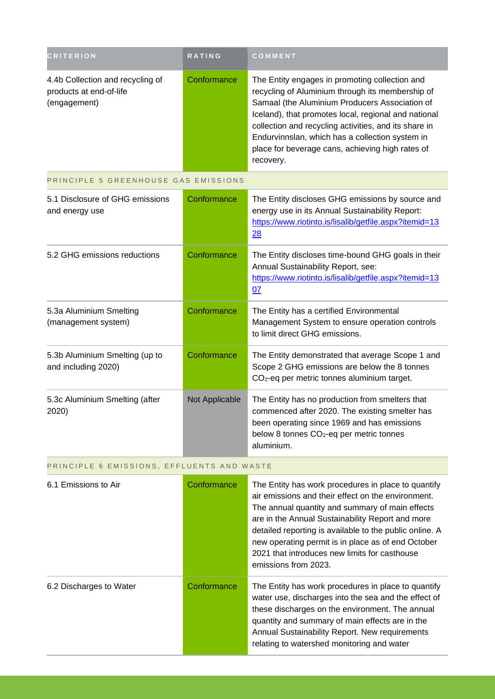| <b>CRITERION</b>                                                            | <b>RATING</b> | <b>COMMENT</b>                                                                                                                                                                                                                                                                                                                                                                            |
|-----------------------------------------------------------------------------|---------------|-------------------------------------------------------------------------------------------------------------------------------------------------------------------------------------------------------------------------------------------------------------------------------------------------------------------------------------------------------------------------------------------|
| 4.4b Collection and recycling of<br>products at end-of-life<br>(engagement) | Conformance   | The Entity engages in promoting collection and<br>recycling of Aluminium through its membership of<br>Samaal (the Aluminium Producers Association of<br>Iceland), that promotes local, regional and national<br>collection and recycling activities, and its share in<br>Endurvinnslan, which has a collection system in<br>place for beverage cans, achieving high rates of<br>recovery. |

PRINCIPLE 5 GREENHOUSE GAS EMISSIONS

| 5.1 Disclosure of GHG emissions<br>and energy use     | Conformance    | The Entity discloses GHG emissions by source and<br>energy use in its Annual Sustainability Report:<br>https://www.riotinto.is/lisalib/getfile.aspx?itemid=13<br>28                                                    |
|-------------------------------------------------------|----------------|------------------------------------------------------------------------------------------------------------------------------------------------------------------------------------------------------------------------|
| 5.2 GHG emissions reductions                          | Conformance    | The Entity discloses time-bound GHG goals in their<br>Annual Sustainability Report, see:<br>https://www.riotinto.is/lisalib/getfile.aspx?itemid=13<br>07                                                               |
| 5.3a Aluminium Smelting<br>(management system)        | Conformance    | The Entity has a certified Environmental<br>Management System to ensure operation controls<br>to limit direct GHG emissions.                                                                                           |
| 5.3b Aluminium Smelting (up to<br>and including 2020) | Conformance    | The Entity demonstrated that average Scope 1 and<br>Scope 2 GHG emissions are below the 8 tonnes<br>$CO2$ -eq per metric tonnes aluminium target.                                                                      |
| 5.3c Aluminium Smelting (after<br>2020)               | Not Applicable | The Entity has no production from smelters that<br>commenced after 2020. The existing smelter has<br>been operating since 1969 and has emissions<br>below 8 tonnes CO <sub>2</sub> -eq per metric tonnes<br>aluminium. |

#### PRINCIPLE 6 EMISSIONS, EFFLUENTS AND WASTE

| 6.1 Emissions to Air    | Conformance | The Entity has work procedures in place to quantify<br>air emissions and their effect on the environment.<br>The annual quantity and summary of main effects<br>are in the Annual Sustainability Report and more<br>detailed reporting is available to the public online. A<br>new operating permit is in place as of end October<br>2021 that introduces new limits for casthouse<br>emissions from 2023. |
|-------------------------|-------------|------------------------------------------------------------------------------------------------------------------------------------------------------------------------------------------------------------------------------------------------------------------------------------------------------------------------------------------------------------------------------------------------------------|
| 6.2 Discharges to Water | Conformance | The Entity has work procedures in place to quantify<br>water use, discharges into the sea and the effect of<br>these discharges on the environment. The annual<br>quantity and summary of main effects are in the<br>Annual Sustainability Report. New requirements<br>relating to watershed monitoring and water                                                                                          |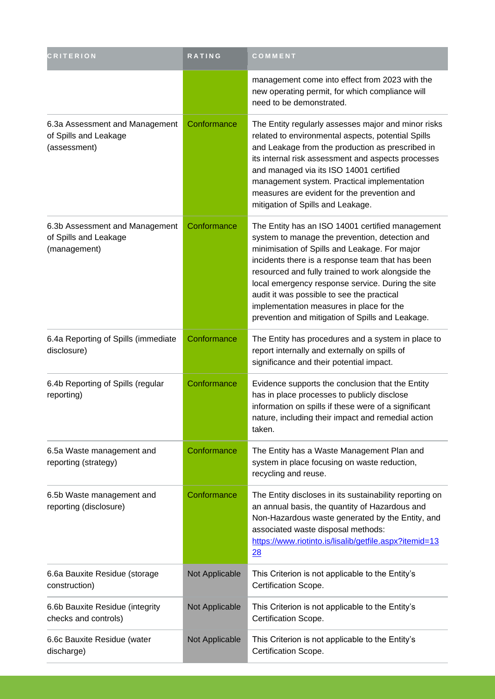| <b>CRITERION</b>                                                        | RATING         | COMMENT                                                                                                                                                                                                                                                                                                                                                                                                                                                         |
|-------------------------------------------------------------------------|----------------|-----------------------------------------------------------------------------------------------------------------------------------------------------------------------------------------------------------------------------------------------------------------------------------------------------------------------------------------------------------------------------------------------------------------------------------------------------------------|
|                                                                         |                | management come into effect from 2023 with the<br>new operating permit, for which compliance will<br>need to be demonstrated.                                                                                                                                                                                                                                                                                                                                   |
| 6.3a Assessment and Management<br>of Spills and Leakage<br>(assessment) | Conformance    | The Entity regularly assesses major and minor risks<br>related to environmental aspects, potential Spills<br>and Leakage from the production as prescribed in<br>its internal risk assessment and aspects processes<br>and managed via its ISO 14001 certified<br>management system. Practical implementation<br>measures are evident for the prevention and<br>mitigation of Spills and Leakage.                                                               |
| 6.3b Assessment and Management<br>of Spills and Leakage<br>(management) | Conformance    | The Entity has an ISO 14001 certified management<br>system to manage the prevention, detection and<br>minimisation of Spills and Leakage. For major<br>incidents there is a response team that has been<br>resourced and fully trained to work alongside the<br>local emergency response service. During the site<br>audit it was possible to see the practical<br>implementation measures in place for the<br>prevention and mitigation of Spills and Leakage. |
| 6.4a Reporting of Spills (immediate<br>disclosure)                      | Conformance    | The Entity has procedures and a system in place to<br>report internally and externally on spills of<br>significance and their potential impact.                                                                                                                                                                                                                                                                                                                 |
| 6.4b Reporting of Spills (regular<br>reporting)                         | Conformance    | Evidence supports the conclusion that the Entity<br>has in place processes to publicly disclose<br>information on spills if these were of a significant<br>nature, including their impact and remedial action<br>taken.                                                                                                                                                                                                                                         |
| 6.5a Waste management and<br>reporting (strategy)                       | Conformance    | The Entity has a Waste Management Plan and<br>system in place focusing on waste reduction,<br>recycling and reuse.                                                                                                                                                                                                                                                                                                                                              |
| 6.5b Waste management and<br>reporting (disclosure)                     | Conformance    | The Entity discloses in its sustainability reporting on<br>an annual basis, the quantity of Hazardous and<br>Non-Hazardous waste generated by the Entity, and<br>associated waste disposal methods:<br>https://www.riotinto.is/lisalib/getfile.aspx?itemid=13<br>28                                                                                                                                                                                             |
| 6.6a Bauxite Residue (storage<br>construction)                          | Not Applicable | This Criterion is not applicable to the Entity's<br>Certification Scope.                                                                                                                                                                                                                                                                                                                                                                                        |
| 6.6b Bauxite Residue (integrity<br>checks and controls)                 | Not Applicable | This Criterion is not applicable to the Entity's<br>Certification Scope.                                                                                                                                                                                                                                                                                                                                                                                        |
| 6.6c Bauxite Residue (water<br>discharge)                               | Not Applicable | This Criterion is not applicable to the Entity's<br>Certification Scope.                                                                                                                                                                                                                                                                                                                                                                                        |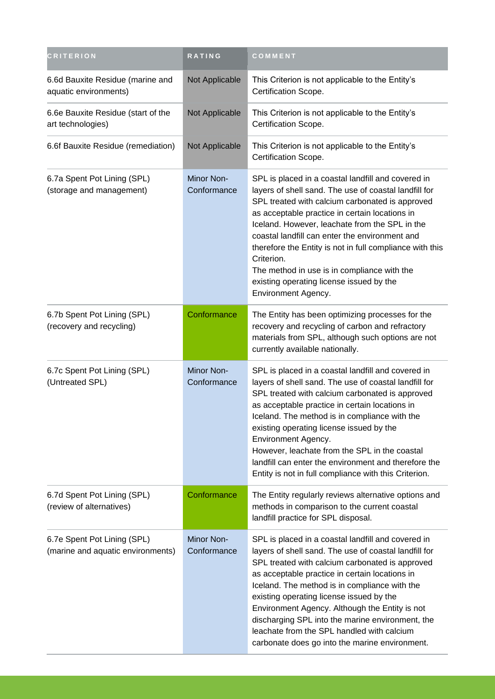| <b>CRITERION</b>                                                 | <b>RATING</b>             | COMMENT                                                                                                                                                                                                                                                                                                                                                                                                                                                                                                             |
|------------------------------------------------------------------|---------------------------|---------------------------------------------------------------------------------------------------------------------------------------------------------------------------------------------------------------------------------------------------------------------------------------------------------------------------------------------------------------------------------------------------------------------------------------------------------------------------------------------------------------------|
| 6.6d Bauxite Residue (marine and<br>aquatic environments)        | Not Applicable            | This Criterion is not applicable to the Entity's<br>Certification Scope.                                                                                                                                                                                                                                                                                                                                                                                                                                            |
| 6.6e Bauxite Residue (start of the<br>art technologies)          | Not Applicable            | This Criterion is not applicable to the Entity's<br>Certification Scope.                                                                                                                                                                                                                                                                                                                                                                                                                                            |
| 6.6f Bauxite Residue (remediation)                               | Not Applicable            | This Criterion is not applicable to the Entity's<br>Certification Scope.                                                                                                                                                                                                                                                                                                                                                                                                                                            |
| 6.7a Spent Pot Lining (SPL)<br>(storage and management)          | Minor Non-<br>Conformance | SPL is placed in a coastal landfill and covered in<br>layers of shell sand. The use of coastal landfill for<br>SPL treated with calcium carbonated is approved<br>as acceptable practice in certain locations in<br>Iceland. However, leachate from the SPL in the<br>coastal landfill can enter the environment and<br>therefore the Entity is not in full compliance with this<br>Criterion.<br>The method in use is in compliance with the<br>existing operating license issued by the<br>Environment Agency.    |
| 6.7b Spent Pot Lining (SPL)<br>(recovery and recycling)          | Conformance               | The Entity has been optimizing processes for the<br>recovery and recycling of carbon and refractory<br>materials from SPL, although such options are not<br>currently available nationally.                                                                                                                                                                                                                                                                                                                         |
| 6.7c Spent Pot Lining (SPL)<br>(Untreated SPL)                   | Minor Non-<br>Conformance | SPL is placed in a coastal landfill and covered in<br>layers of shell sand. The use of coastal landfill for<br>SPL treated with calcium carbonated is approved<br>as acceptable practice in certain locations in<br>Iceland. The method is in compliance with the<br>existing operating license issued by the<br>Environment Agency.<br>However, leachate from the SPL in the coastal<br>landfill can enter the environment and therefore the<br>Entity is not in full compliance with this Criterion.              |
| 6.7d Spent Pot Lining (SPL)<br>(review of alternatives)          | Conformance               | The Entity regularly reviews alternative options and<br>methods in comparison to the current coastal<br>landfill practice for SPL disposal.                                                                                                                                                                                                                                                                                                                                                                         |
| 6.7e Spent Pot Lining (SPL)<br>(marine and aquatic environments) | Minor Non-<br>Conformance | SPL is placed in a coastal landfill and covered in<br>layers of shell sand. The use of coastal landfill for<br>SPL treated with calcium carbonated is approved<br>as acceptable practice in certain locations in<br>Iceland. The method is in compliance with the<br>existing operating license issued by the<br>Environment Agency. Although the Entity is not<br>discharging SPL into the marine environment, the<br>leachate from the SPL handled with calcium<br>carbonate does go into the marine environment. |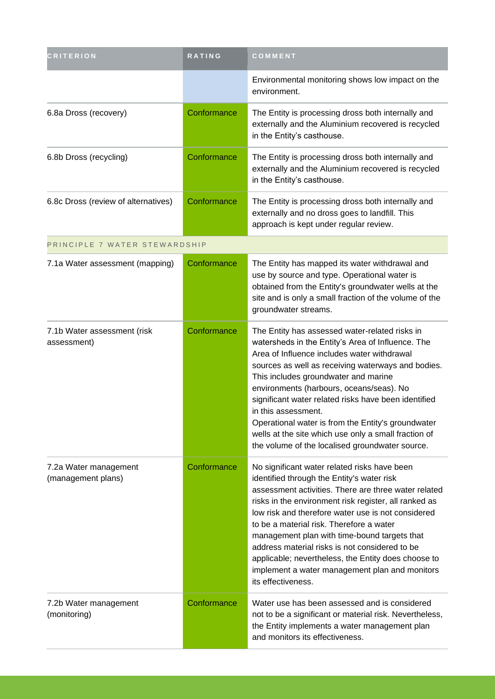| <b>CRITERION</b>                            | <b>RATING</b> | COMMENT                                                                                                                                                                                                                                                                                                                                                                                                                                                                                                                                        |
|---------------------------------------------|---------------|------------------------------------------------------------------------------------------------------------------------------------------------------------------------------------------------------------------------------------------------------------------------------------------------------------------------------------------------------------------------------------------------------------------------------------------------------------------------------------------------------------------------------------------------|
|                                             |               | Environmental monitoring shows low impact on the<br>environment.                                                                                                                                                                                                                                                                                                                                                                                                                                                                               |
| 6.8a Dross (recovery)                       | Conformance   | The Entity is processing dross both internally and<br>externally and the Aluminium recovered is recycled<br>in the Entity's casthouse.                                                                                                                                                                                                                                                                                                                                                                                                         |
| 6.8b Dross (recycling)                      | Conformance   | The Entity is processing dross both internally and<br>externally and the Aluminium recovered is recycled<br>in the Entity's casthouse.                                                                                                                                                                                                                                                                                                                                                                                                         |
| 6.8c Dross (review of alternatives)         | Conformance   | The Entity is processing dross both internally and<br>externally and no dross goes to landfill. This<br>approach is kept under regular review.                                                                                                                                                                                                                                                                                                                                                                                                 |
| PRINCIPLE 7 WATER STEWARDSHIP               |               |                                                                                                                                                                                                                                                                                                                                                                                                                                                                                                                                                |
| 7.1a Water assessment (mapping)             | Conformance   | The Entity has mapped its water withdrawal and<br>use by source and type. Operational water is<br>obtained from the Entity's groundwater wells at the<br>site and is only a small fraction of the volume of the<br>groundwater streams.                                                                                                                                                                                                                                                                                                        |
| 7.1b Water assessment (risk<br>assessment)  | Conformance   | The Entity has assessed water-related risks in<br>watersheds in the Entity's Area of Influence. The<br>Area of Influence includes water withdrawal<br>sources as well as receiving waterways and bodies.<br>This includes groundwater and marine<br>environments (harbours, oceans/seas). No<br>significant water related risks have been identified<br>in this assessment.<br>Operational water is from the Entity's groundwater<br>wells at the site which use only a small fraction of<br>the volume of the localised groundwater source.   |
| 7.2a Water management<br>(management plans) | Conformance   | No significant water related risks have been<br>identified through the Entity's water risk<br>assessment activities. There are three water related<br>risks in the environment risk register, all ranked as<br>low risk and therefore water use is not considered<br>to be a material risk. Therefore a water<br>management plan with time-bound targets that<br>address material risks is not considered to be<br>applicable; nevertheless, the Entity does choose to<br>implement a water management plan and monitors<br>its effectiveness. |
| 7.2b Water management<br>(monitoring)       | Conformance   | Water use has been assessed and is considered<br>not to be a significant or material risk. Nevertheless,<br>the Entity implements a water management plan<br>and monitors its effectiveness.                                                                                                                                                                                                                                                                                                                                                   |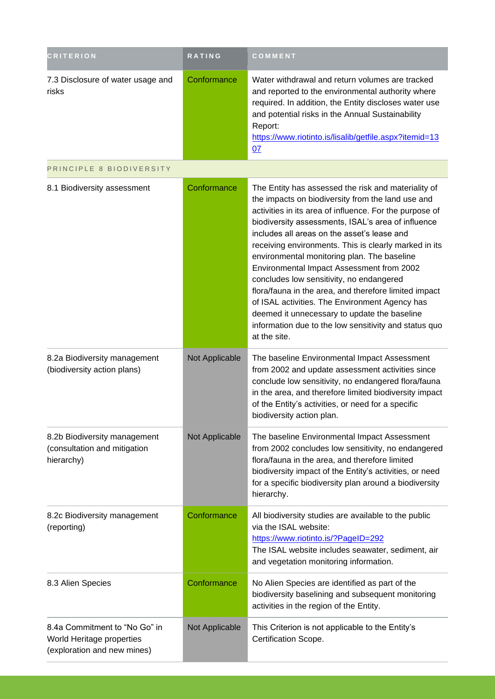| <b>CRITERION</b>                                                                          | <b>RATING</b>  | COMMENT                                                                                                                                                                                                                                                                                                                                                                                                                                                                                                                                                                                                                                                                                                       |
|-------------------------------------------------------------------------------------------|----------------|---------------------------------------------------------------------------------------------------------------------------------------------------------------------------------------------------------------------------------------------------------------------------------------------------------------------------------------------------------------------------------------------------------------------------------------------------------------------------------------------------------------------------------------------------------------------------------------------------------------------------------------------------------------------------------------------------------------|
| 7.3 Disclosure of water usage and<br>risks                                                | Conformance    | Water withdrawal and return volumes are tracked<br>and reported to the environmental authority where<br>required. In addition, the Entity discloses water use<br>and potential risks in the Annual Sustainability<br>Report:<br>https://www.riotinto.is/lisalib/getfile.aspx?itemid=13<br>07                                                                                                                                                                                                                                                                                                                                                                                                                  |
| PRINCIPLE 8 BIODIVERSITY                                                                  |                |                                                                                                                                                                                                                                                                                                                                                                                                                                                                                                                                                                                                                                                                                                               |
| 8.1 Biodiversity assessment                                                               | Conformance    | The Entity has assessed the risk and materiality of<br>the impacts on biodiversity from the land use and<br>activities in its area of influence. For the purpose of<br>biodiversity assessments, ISAL's area of influence<br>includes all areas on the asset's lease and<br>receiving environments. This is clearly marked in its<br>environmental monitoring plan. The baseline<br>Environmental Impact Assessment from 2002<br>concludes low sensitivity, no endangered<br>flora/fauna in the area, and therefore limited impact<br>of ISAL activities. The Environment Agency has<br>deemed it unnecessary to update the baseline<br>information due to the low sensitivity and status quo<br>at the site. |
| 8.2a Biodiversity management<br>(biodiversity action plans)                               | Not Applicable | The baseline Environmental Impact Assessment<br>from 2002 and update assessment activities since<br>conclude low sensitivity, no endangered flora/fauna<br>in the area, and therefore limited biodiversity impact<br>of the Entity's activities, or need for a specific<br>biodiversity action plan.                                                                                                                                                                                                                                                                                                                                                                                                          |
| 8.2b Biodiversity management<br>(consultation and mitigation<br>hierarchy)                | Not Applicable | The baseline Environmental Impact Assessment<br>from 2002 concludes low sensitivity, no endangered<br>flora/fauna in the area, and therefore limited<br>biodiversity impact of the Entity's activities, or need<br>for a specific biodiversity plan around a biodiversity<br>hierarchy.                                                                                                                                                                                                                                                                                                                                                                                                                       |
| 8.2c Biodiversity management<br>(reporting)                                               | Conformance    | All biodiversity studies are available to the public<br>via the ISAL website:<br>https://www.riotinto.is/?PageID=292<br>The ISAL website includes seawater, sediment, air<br>and vegetation monitoring information.                                                                                                                                                                                                                                                                                                                                                                                                                                                                                           |
| 8.3 Alien Species                                                                         | Conformance    | No Alien Species are identified as part of the<br>biodiversity baselining and subsequent monitoring<br>activities in the region of the Entity.                                                                                                                                                                                                                                                                                                                                                                                                                                                                                                                                                                |
| 8.4a Commitment to "No Go" in<br>World Heritage properties<br>(exploration and new mines) | Not Applicable | This Criterion is not applicable to the Entity's<br>Certification Scope.                                                                                                                                                                                                                                                                                                                                                                                                                                                                                                                                                                                                                                      |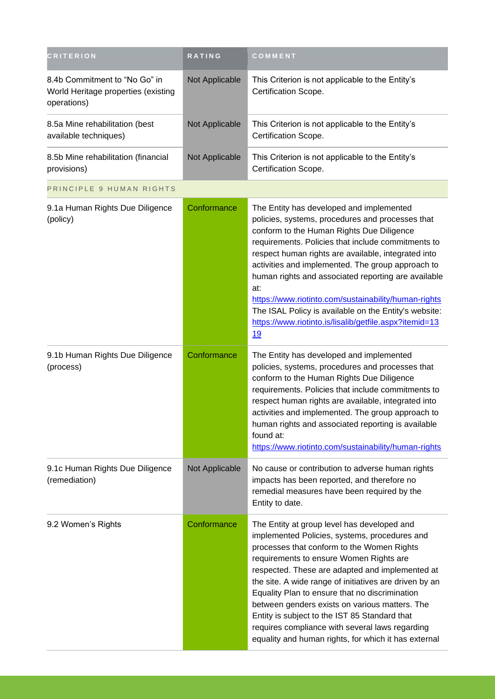| <b>CRITERION</b>                                                                    | RATING         | COMMENT                                                                                                                                                                                                                                                                                                                                                                                                                                                                                                                                                            |
|-------------------------------------------------------------------------------------|----------------|--------------------------------------------------------------------------------------------------------------------------------------------------------------------------------------------------------------------------------------------------------------------------------------------------------------------------------------------------------------------------------------------------------------------------------------------------------------------------------------------------------------------------------------------------------------------|
| 8.4b Commitment to "No Go" in<br>World Heritage properties (existing<br>operations) | Not Applicable | This Criterion is not applicable to the Entity's<br>Certification Scope.                                                                                                                                                                                                                                                                                                                                                                                                                                                                                           |
| 8.5a Mine rehabilitation (best<br>available techniques)                             | Not Applicable | This Criterion is not applicable to the Entity's<br>Certification Scope.                                                                                                                                                                                                                                                                                                                                                                                                                                                                                           |
| 8.5b Mine rehabilitation (financial<br>provisions)                                  | Not Applicable | This Criterion is not applicable to the Entity's<br>Certification Scope.                                                                                                                                                                                                                                                                                                                                                                                                                                                                                           |
| PRINCIPLE 9 HUMAN RIGHTS                                                            |                |                                                                                                                                                                                                                                                                                                                                                                                                                                                                                                                                                                    |
| 9.1a Human Rights Due Diligence<br>(policy)                                         | Conformance    | The Entity has developed and implemented<br>policies, systems, procedures and processes that<br>conform to the Human Rights Due Diligence<br>requirements. Policies that include commitments to<br>respect human rights are available, integrated into<br>activities and implemented. The group approach to<br>human rights and associated reporting are available<br>at:<br>https://www.riotinto.com/sustainability/human-rights<br>The ISAL Policy is available on the Entity's website:<br>https://www.riotinto.is/lisalib/getfile.aspx?itemid=13<br><u>19</u>  |
| 9.1b Human Rights Due Diligence<br>(process)                                        | Conformance    | The Entity has developed and implemented<br>policies, systems, procedures and processes that<br>conform to the Human Rights Due Diligence<br>requirements. Policies that include commitments to<br>respect human rights are available, integrated into<br>activities and implemented. The group approach to<br>human rights and associated reporting is available<br>found at:<br>https://www.riotinto.com/sustainability/human-rights                                                                                                                             |
| 9.1c Human Rights Due Diligence<br>(remediation)                                    | Not Applicable | No cause or contribution to adverse human rights<br>impacts has been reported, and therefore no<br>remedial measures have been required by the<br>Entity to date.                                                                                                                                                                                                                                                                                                                                                                                                  |
| 9.2 Women's Rights                                                                  | Conformance    | The Entity at group level has developed and<br>implemented Policies, systems, procedures and<br>processes that conform to the Women Rights<br>requirements to ensure Women Rights are<br>respected. These are adapted and implemented at<br>the site. A wide range of initiatives are driven by an<br>Equality Plan to ensure that no discrimination<br>between genders exists on various matters. The<br>Entity is subject to the IST 85 Standard that<br>requires compliance with several laws regarding<br>equality and human rights, for which it has external |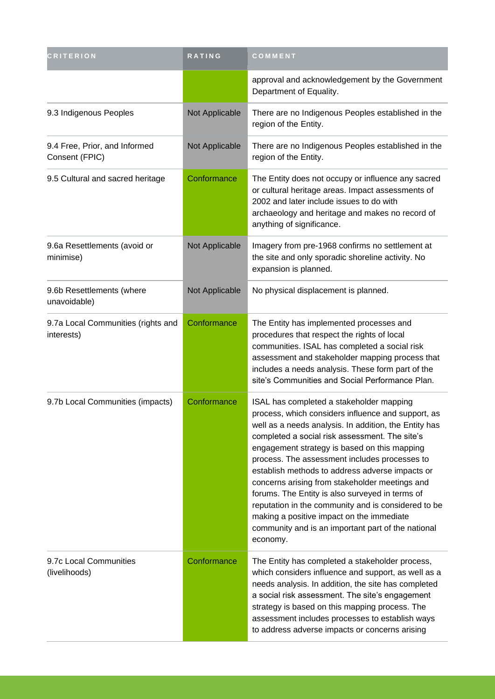| CRITERION                                        | <b>RATING</b>  | COMMENT                                                                                                                                                                                                                                                                                                                                                                                                                                                                                                                                                                                                                                  |
|--------------------------------------------------|----------------|------------------------------------------------------------------------------------------------------------------------------------------------------------------------------------------------------------------------------------------------------------------------------------------------------------------------------------------------------------------------------------------------------------------------------------------------------------------------------------------------------------------------------------------------------------------------------------------------------------------------------------------|
|                                                  |                | approval and acknowledgement by the Government<br>Department of Equality.                                                                                                                                                                                                                                                                                                                                                                                                                                                                                                                                                                |
| 9.3 Indigenous Peoples                           | Not Applicable | There are no Indigenous Peoples established in the<br>region of the Entity.                                                                                                                                                                                                                                                                                                                                                                                                                                                                                                                                                              |
| 9.4 Free, Prior, and Informed<br>Consent (FPIC)  | Not Applicable | There are no Indigenous Peoples established in the<br>region of the Entity.                                                                                                                                                                                                                                                                                                                                                                                                                                                                                                                                                              |
| 9.5 Cultural and sacred heritage                 | Conformance    | The Entity does not occupy or influence any sacred<br>or cultural heritage areas. Impact assessments of<br>2002 and later include issues to do with<br>archaeology and heritage and makes no record of<br>anything of significance.                                                                                                                                                                                                                                                                                                                                                                                                      |
| 9.6a Resettlements (avoid or<br>minimise)        | Not Applicable | Imagery from pre-1968 confirms no settlement at<br>the site and only sporadic shoreline activity. No<br>expansion is planned.                                                                                                                                                                                                                                                                                                                                                                                                                                                                                                            |
| 9.6b Resettlements (where<br>unavoidable)        | Not Applicable | No physical displacement is planned.                                                                                                                                                                                                                                                                                                                                                                                                                                                                                                                                                                                                     |
| 9.7a Local Communities (rights and<br>interests) | Conformance    | The Entity has implemented processes and<br>procedures that respect the rights of local<br>communities. ISAL has completed a social risk<br>assessment and stakeholder mapping process that<br>includes a needs analysis. These form part of the<br>site's Communities and Social Performance Plan.                                                                                                                                                                                                                                                                                                                                      |
| 9.7b Local Communities (impacts)                 | Conformance    | ISAL has completed a stakeholder mapping<br>process, which considers influence and support, as<br>well as a needs analysis. In addition, the Entity has<br>completed a social risk assessment. The site's<br>engagement strategy is based on this mapping<br>process. The assessment includes processes to<br>establish methods to address adverse impacts or<br>concerns arising from stakeholder meetings and<br>forums. The Entity is also surveyed in terms of<br>reputation in the community and is considered to be<br>making a positive impact on the immediate<br>community and is an important part of the national<br>economy. |
| 9.7c Local Communities<br>(livelihoods)          | Conformance    | The Entity has completed a stakeholder process,<br>which considers influence and support, as well as a<br>needs analysis. In addition, the site has completed<br>a social risk assessment. The site's engagement<br>strategy is based on this mapping process. The<br>assessment includes processes to establish ways<br>to address adverse impacts or concerns arising                                                                                                                                                                                                                                                                  |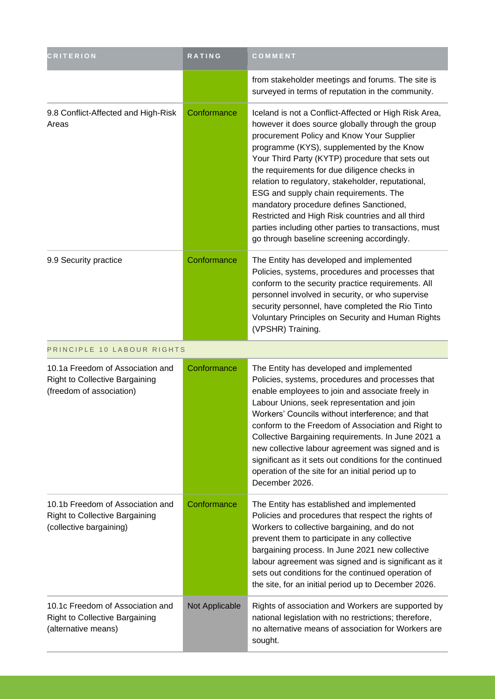| <b>CRITERION</b>                                                                                      | RATING         | COMMENT                                                                                                                                                                                                                                                                                                                                                                                                                                                                                                                                                                                                       |
|-------------------------------------------------------------------------------------------------------|----------------|---------------------------------------------------------------------------------------------------------------------------------------------------------------------------------------------------------------------------------------------------------------------------------------------------------------------------------------------------------------------------------------------------------------------------------------------------------------------------------------------------------------------------------------------------------------------------------------------------------------|
|                                                                                                       |                | from stakeholder meetings and forums. The site is<br>surveyed in terms of reputation in the community.                                                                                                                                                                                                                                                                                                                                                                                                                                                                                                        |
| 9.8 Conflict-Affected and High-Risk<br>Areas                                                          | Conformance    | Iceland is not a Conflict-Affected or High Risk Area,<br>however it does source globally through the group<br>procurement Policy and Know Your Supplier<br>programme (KYS), supplemented by the Know<br>Your Third Party (KYTP) procedure that sets out<br>the requirements for due diligence checks in<br>relation to regulatory, stakeholder, reputational,<br>ESG and supply chain requirements. The<br>mandatory procedure defines Sanctioned,<br>Restricted and High Risk countries and all third<br>parties including other parties to transactions, must<br>go through baseline screening accordingly. |
| 9.9 Security practice                                                                                 | Conformance    | The Entity has developed and implemented<br>Policies, systems, procedures and processes that<br>conform to the security practice requirements. All<br>personnel involved in security, or who supervise<br>security personnel, have completed the Rio Tinto<br>Voluntary Principles on Security and Human Rights<br>(VPSHR) Training.                                                                                                                                                                                                                                                                          |
| PRINCIPLE 10 LABOUR RIGHTS                                                                            |                |                                                                                                                                                                                                                                                                                                                                                                                                                                                                                                                                                                                                               |
| 10.1a Freedom of Association and<br><b>Right to Collective Bargaining</b><br>(freedom of association) | Conformance    | The Entity has developed and implemented<br>Policies, systems, procedures and processes that<br>enable employees to join and associate freely in<br>Labour Unions, seek representation and join<br>Workers' Councils without interference; and that<br>conform to the Freedom of Association and Right to<br>Collective Bargaining requirements. In June 2021 a<br>new collective labour agreement was signed and is<br>significant as it sets out conditions for the continued<br>operation of the site for an initial period up to<br>December 2026.                                                        |
| 10.1b Freedom of Association and<br><b>Right to Collective Bargaining</b><br>(collective bargaining)  | Conformance    | The Entity has established and implemented<br>Policies and procedures that respect the rights of<br>Workers to collective bargaining, and do not<br>prevent them to participate in any collective<br>bargaining process. In June 2021 new collective<br>labour agreement was signed and is significant as it<br>sets out conditions for the continued operation of<br>the site, for an initial period up to December 2026.                                                                                                                                                                                    |
| 10.1c Freedom of Association and<br><b>Right to Collective Bargaining</b><br>(alternative means)      | Not Applicable | Rights of association and Workers are supported by<br>national legislation with no restrictions; therefore,<br>no alternative means of association for Workers are<br>sought.                                                                                                                                                                                                                                                                                                                                                                                                                                 |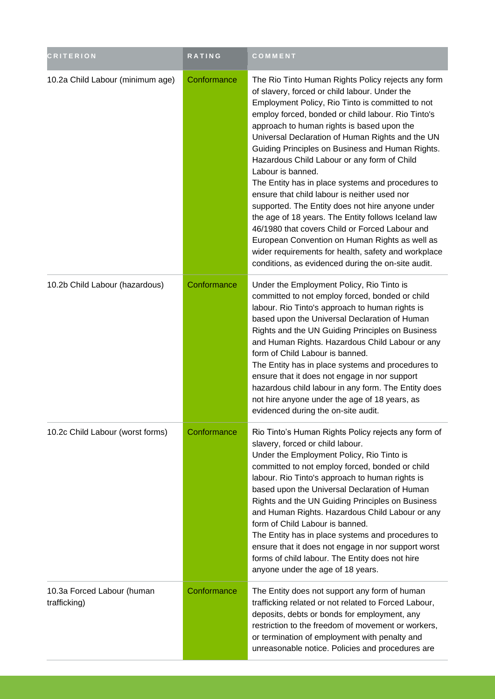| <b>CRITERION</b>                           | RATING      | COMMENT                                                                                                                                                                                                                                                                                                                                                                                                                                                                                                                                                                                                                                                                                                                                                                                                                                                                  |
|--------------------------------------------|-------------|--------------------------------------------------------------------------------------------------------------------------------------------------------------------------------------------------------------------------------------------------------------------------------------------------------------------------------------------------------------------------------------------------------------------------------------------------------------------------------------------------------------------------------------------------------------------------------------------------------------------------------------------------------------------------------------------------------------------------------------------------------------------------------------------------------------------------------------------------------------------------|
| 10.2a Child Labour (minimum age)           | Conformance | The Rio Tinto Human Rights Policy rejects any form<br>of slavery, forced or child labour. Under the<br>Employment Policy, Rio Tinto is committed to not<br>employ forced, bonded or child labour. Rio Tinto's<br>approach to human rights is based upon the<br>Universal Declaration of Human Rights and the UN<br>Guiding Principles on Business and Human Rights.<br>Hazardous Child Labour or any form of Child<br>Labour is banned.<br>The Entity has in place systems and procedures to<br>ensure that child labour is neither used nor<br>supported. The Entity does not hire anyone under<br>the age of 18 years. The Entity follows Iceland law<br>46/1980 that covers Child or Forced Labour and<br>European Convention on Human Rights as well as<br>wider requirements for health, safety and workplace<br>conditions, as evidenced during the on-site audit. |
| 10.2b Child Labour (hazardous)             | Conformance | Under the Employment Policy, Rio Tinto is<br>committed to not employ forced, bonded or child<br>labour. Rio Tinto's approach to human rights is<br>based upon the Universal Declaration of Human<br>Rights and the UN Guiding Principles on Business<br>and Human Rights. Hazardous Child Labour or any<br>form of Child Labour is banned.<br>The Entity has in place systems and procedures to<br>ensure that it does not engage in nor support<br>hazardous child labour in any form. The Entity does<br>not hire anyone under the age of 18 years, as<br>evidenced during the on-site audit.                                                                                                                                                                                                                                                                          |
| 10.2c Child Labour (worst forms)           | Conformance | Rio Tinto's Human Rights Policy rejects any form of<br>slavery, forced or child labour.<br>Under the Employment Policy, Rio Tinto is<br>committed to not employ forced, bonded or child<br>labour. Rio Tinto's approach to human rights is<br>based upon the Universal Declaration of Human<br>Rights and the UN Guiding Principles on Business<br>and Human Rights. Hazardous Child Labour or any<br>form of Child Labour is banned.<br>The Entity has in place systems and procedures to<br>ensure that it does not engage in nor support worst<br>forms of child labour. The Entity does not hire<br>anyone under the age of 18 years.                                                                                                                                                                                                                                |
| 10.3a Forced Labour (human<br>trafficking) | Conformance | The Entity does not support any form of human<br>trafficking related or not related to Forced Labour,<br>deposits, debts or bonds for employment, any<br>restriction to the freedom of movement or workers,<br>or termination of employment with penalty and<br>unreasonable notice. Policies and procedures are                                                                                                                                                                                                                                                                                                                                                                                                                                                                                                                                                         |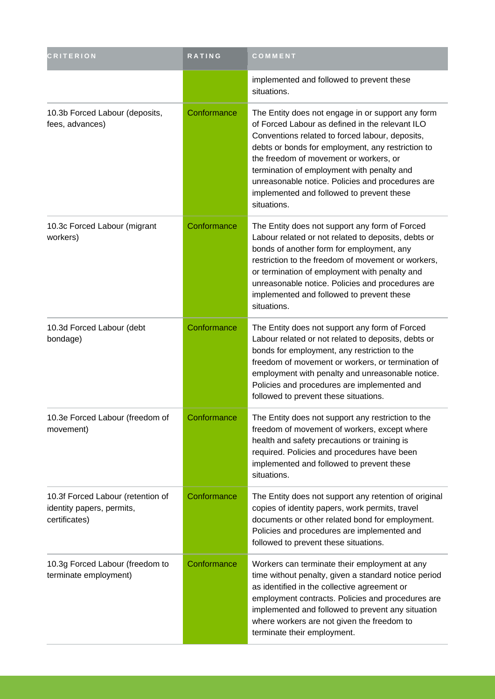| <b>CRITERION</b>                                                                | RATING      | COMMENT                                                                                                                                                                                                                                                                                                                                                                                                              |
|---------------------------------------------------------------------------------|-------------|----------------------------------------------------------------------------------------------------------------------------------------------------------------------------------------------------------------------------------------------------------------------------------------------------------------------------------------------------------------------------------------------------------------------|
|                                                                                 |             | implemented and followed to prevent these<br>situations.                                                                                                                                                                                                                                                                                                                                                             |
| 10.3b Forced Labour (deposits,<br>fees, advances)                               | Conformance | The Entity does not engage in or support any form<br>of Forced Labour as defined in the relevant ILO<br>Conventions related to forced labour, deposits,<br>debts or bonds for employment, any restriction to<br>the freedom of movement or workers, or<br>termination of employment with penalty and<br>unreasonable notice. Policies and procedures are<br>implemented and followed to prevent these<br>situations. |
| 10.3c Forced Labour (migrant<br>workers)                                        | Conformance | The Entity does not support any form of Forced<br>Labour related or not related to deposits, debts or<br>bonds of another form for employment, any<br>restriction to the freedom of movement or workers,<br>or termination of employment with penalty and<br>unreasonable notice. Policies and procedures are<br>implemented and followed to prevent these<br>situations.                                            |
| 10.3d Forced Labour (debt<br>bondage)                                           | Conformance | The Entity does not support any form of Forced<br>Labour related or not related to deposits, debts or<br>bonds for employment, any restriction to the<br>freedom of movement or workers, or termination of<br>employment with penalty and unreasonable notice.<br>Policies and procedures are implemented and<br>followed to prevent these situations.                                                               |
| 10.3e Forced Labour (freedom of<br>movement)                                    | Conformance | The Entity does not support any restriction to the<br>freedom of movement of workers, except where<br>health and safety precautions or training is<br>required. Policies and procedures have been<br>implemented and followed to prevent these<br>situations.                                                                                                                                                        |
| 10.3f Forced Labour (retention of<br>identity papers, permits,<br>certificates) | Conformance | The Entity does not support any retention of original<br>copies of identity papers, work permits, travel<br>documents or other related bond for employment.<br>Policies and procedures are implemented and<br>followed to prevent these situations.                                                                                                                                                                  |
| 10.3g Forced Labour (freedom to<br>terminate employment)                        | Conformance | Workers can terminate their employment at any<br>time without penalty, given a standard notice period<br>as identified in the collective agreement or<br>employment contracts. Policies and procedures are<br>implemented and followed to prevent any situation<br>where workers are not given the freedom to<br>terminate their employment.                                                                         |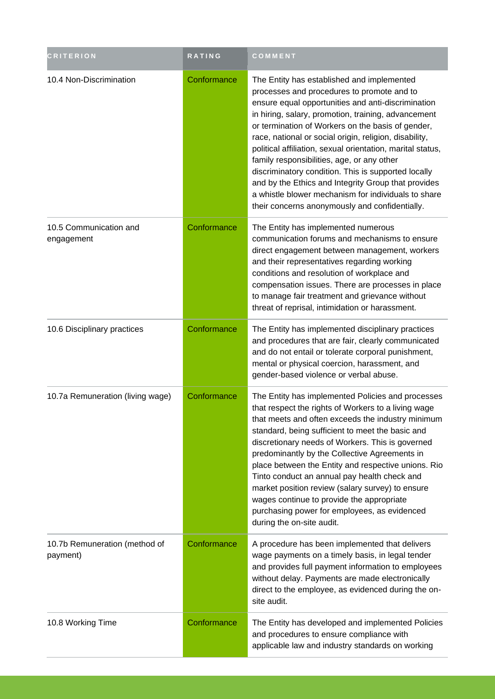| <b>CRITERION</b>                          | <b>RATING</b> | COMMENT                                                                                                                                                                                                                                                                                                                                                                                                                                                                                                                                                                                                                                                 |
|-------------------------------------------|---------------|---------------------------------------------------------------------------------------------------------------------------------------------------------------------------------------------------------------------------------------------------------------------------------------------------------------------------------------------------------------------------------------------------------------------------------------------------------------------------------------------------------------------------------------------------------------------------------------------------------------------------------------------------------|
| 10.4 Non-Discrimination                   | Conformance   | The Entity has established and implemented<br>processes and procedures to promote and to<br>ensure equal opportunities and anti-discrimination<br>in hiring, salary, promotion, training, advancement<br>or termination of Workers on the basis of gender,<br>race, national or social origin, religion, disability,<br>political affiliation, sexual orientation, marital status,<br>family responsibilities, age, or any other<br>discriminatory condition. This is supported locally<br>and by the Ethics and Integrity Group that provides<br>a whistle blower mechanism for individuals to share<br>their concerns anonymously and confidentially. |
| 10.5 Communication and<br>engagement      | Conformance   | The Entity has implemented numerous<br>communication forums and mechanisms to ensure<br>direct engagement between management, workers<br>and their representatives regarding working<br>conditions and resolution of workplace and<br>compensation issues. There are processes in place<br>to manage fair treatment and grievance without<br>threat of reprisal, intimidation or harassment.                                                                                                                                                                                                                                                            |
| 10.6 Disciplinary practices               | Conformance   | The Entity has implemented disciplinary practices<br>and procedures that are fair, clearly communicated<br>and do not entail or tolerate corporal punishment,<br>mental or physical coercion, harassment, and<br>gender-based violence or verbal abuse.                                                                                                                                                                                                                                                                                                                                                                                                 |
| 10.7a Remuneration (living wage)          | Conformance   | The Entity has implemented Policies and processes<br>that respect the rights of Workers to a living wage<br>that meets and often exceeds the industry minimum<br>standard, being sufficient to meet the basic and<br>discretionary needs of Workers. This is governed<br>predominantly by the Collective Agreements in<br>place between the Entity and respective unions. Rio<br>Tinto conduct an annual pay health check and<br>market position review (salary survey) to ensure<br>wages continue to provide the appropriate<br>purchasing power for employees, as evidenced<br>during the on-site audit.                                             |
| 10.7b Remuneration (method of<br>payment) | Conformance   | A procedure has been implemented that delivers<br>wage payments on a timely basis, in legal tender<br>and provides full payment information to employees<br>without delay. Payments are made electronically<br>direct to the employee, as evidenced during the on-<br>site audit.                                                                                                                                                                                                                                                                                                                                                                       |
| 10.8 Working Time                         | Conformance   | The Entity has developed and implemented Policies<br>and procedures to ensure compliance with<br>applicable law and industry standards on working                                                                                                                                                                                                                                                                                                                                                                                                                                                                                                       |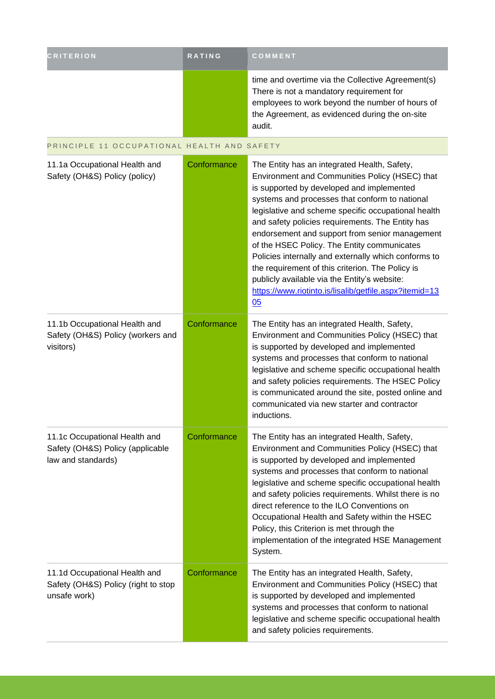| <b>CRITERION</b>                                                                        | RATING      | COMMENT                                                                                                                                                                                                                                                                                                                                                                                                                                                                                                                                                                                                                               |
|-----------------------------------------------------------------------------------------|-------------|---------------------------------------------------------------------------------------------------------------------------------------------------------------------------------------------------------------------------------------------------------------------------------------------------------------------------------------------------------------------------------------------------------------------------------------------------------------------------------------------------------------------------------------------------------------------------------------------------------------------------------------|
|                                                                                         |             | time and overtime via the Collective Agreement(s)<br>There is not a mandatory requirement for<br>employees to work beyond the number of hours of<br>the Agreement, as evidenced during the on-site<br>audit.                                                                                                                                                                                                                                                                                                                                                                                                                          |
| PRINCIPLE 11 OCCUPATIONAL HEALTH AND SAFETY                                             |             |                                                                                                                                                                                                                                                                                                                                                                                                                                                                                                                                                                                                                                       |
| 11.1a Occupational Health and<br>Safety (OH&S) Policy (policy)                          | Conformance | The Entity has an integrated Health, Safety,<br>Environment and Communities Policy (HSEC) that<br>is supported by developed and implemented<br>systems and processes that conform to national<br>legislative and scheme specific occupational health<br>and safety policies requirements. The Entity has<br>endorsement and support from senior management<br>of the HSEC Policy. The Entity communicates<br>Policies internally and externally which conforms to<br>the requirement of this criterion. The Policy is<br>publicly available via the Entity's website:<br>https://www.riotinto.is/lisalib/getfile.aspx?itemid=13<br>05 |
| 11.1b Occupational Health and<br>Safety (OH&S) Policy (workers and<br>visitors)         | Conformance | The Entity has an integrated Health, Safety,<br>Environment and Communities Policy (HSEC) that<br>is supported by developed and implemented<br>systems and processes that conform to national<br>legislative and scheme specific occupational health<br>and safety policies requirements. The HSEC Policy<br>is communicated around the site, posted online and<br>communicated via new starter and contractor<br>inductions.                                                                                                                                                                                                         |
| 11.1c Occupational Health and<br>Safety (OH&S) Policy (applicable<br>law and standards) | Conformance | The Entity has an integrated Health, Safety,<br>Environment and Communities Policy (HSEC) that<br>is supported by developed and implemented<br>systems and processes that conform to national<br>legislative and scheme specific occupational health<br>and safety policies requirements. Whilst there is no<br>direct reference to the ILO Conventions on<br>Occupational Health and Safety within the HSEC<br>Policy, this Criterion is met through the<br>implementation of the integrated HSE Management<br>System.                                                                                                               |
| 11.1d Occupational Health and<br>Safety (OH&S) Policy (right to stop<br>unsafe work)    | Conformance | The Entity has an integrated Health, Safety,<br>Environment and Communities Policy (HSEC) that<br>is supported by developed and implemented<br>systems and processes that conform to national<br>legislative and scheme specific occupational health<br>and safety policies requirements.                                                                                                                                                                                                                                                                                                                                             |